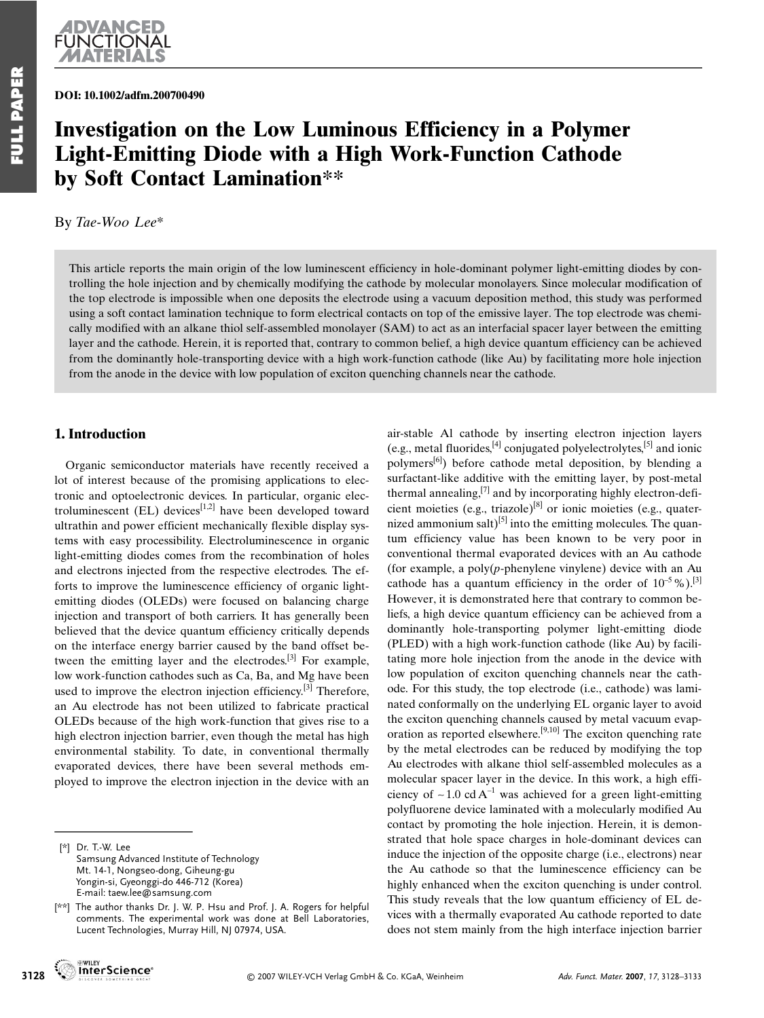**DVANCED FUNCTIONAL** 

**DOI: 10.1002/adfm.200700490**

# **Investigation on the Low Luminous Efficiency in a Polymer Light-Emitting Diode with a High Work-Function Cathode by Soft Contact Lamination\*\***

#### By *Tae-Woo Lee*\*

This article reports the main origin of the low luminescent efficiency in hole-dominant polymer light-emitting diodes by controlling the hole injection and by chemically modifying the cathode by molecular monolayers. Since molecular modification of the top electrode is impossible when one deposits the electrode using a vacuum deposition method, this study was performed using a soft contact lamination technique to form electrical contacts on top of the emissive layer. The top electrode was chemically modified with an alkane thiol self-assembled monolayer (SAM) to act as an interfacial spacer layer between the emitting layer and the cathode. Herein, it is reported that, contrary to common belief, a high device quantum efficiency can be achieved from the dominantly hole-transporting device with a high work-function cathode (like Au) by facilitating more hole injection from the anode in the device with low population of exciton quenching channels near the cathode.

## **1. Introduction**

Organic semiconductor materials have recently received a lot of interest because of the promising applications to electronic and optoelectronic devices. In particular, organic electroluminescent (EL) devices<sup>[1,2]</sup> have been developed toward ultrathin and power efficient mechanically flexible display systems with easy processibility. Electroluminescence in organic light-emitting diodes comes from the recombination of holes and electrons injected from the respective electrodes. The efforts to improve the luminescence efficiency of organic lightemitting diodes (OLEDs) were focused on balancing charge injection and transport of both carriers. It has generally been believed that the device quantum efficiency critically depends on the interface energy barrier caused by the band offset between the emitting layer and the electrodes.[3] For example, low work-function cathodes such as Ca, Ba, and Mg have been used to improve the electron injection efficiency.<sup>[3]</sup> Therefore, an Au electrode has not been utilized to fabricate practical OLEDs because of the high work-function that gives rise to a high electron injection barrier, even though the metal has high environmental stability. To date, in conventional thermally evaporated devices, there have been several methods employed to improve the electron injection in the device with an believed that the device qu<br>on the interface energy band<br>tween the emitting layer a<br>low work-function cathodes<br>used to improve the electro<br>an Au electrode has not b<br>OLEDs because of the high<br>high electron injection barr<br>en

[\*] Dr. T.-W. Lee Samsung Advanced Institute of Technology Mt. 14-1, Nongseo-dong, Giheung-gu Yongin-si, Gyeonggi-do 446-712 (Korea) E-mail: taew.lee@samsung.com

air-stable Al cathode by inserting electron injection layers (e.g., metal fluorides, $^{[4]}$  conjugated polyelectrolytes, $^{[5]}$  and ionic polymers[6]) before cathode metal deposition, by blending a surfactant-like additive with the emitting layer, by post-metal thermal annealing,[7] and by incorporating highly electron-deficient moieties (e.g., triazole) $^{[8]}$  or ionic moieties (e.g., quaternized ammonium salt $[5]$  into the emitting molecules. The quantum efficiency value has been known to be very poor in conventional thermal evaporated devices with an Au cathode (for example, a poly(*p*-phenylene vinylene) device with an Au cathode has a quantum efficiency in the order of  $10^{-5}$ %).<sup>[3]</sup> However, it is demonstrated here that contrary to common beliefs, a high device quantum efficiency can be achieved from a dominantly hole-transporting polymer light-emitting diode (PLED) with a high work-function cathode (like Au) by facilitating more hole injection from the anode in the device with low population of exciton quenching channels near the cathode. For this study, the top electrode (i.e., cathode) was laminated conformally on the underlying EL organic layer to avoid the exciton quenching channels caused by metal vacuum evaporation as reported elsewhere.[9,10] The exciton quenching rate by the metal electrodes can be reduced by modifying the top Au electrodes with alkane thiol self-assembled molecules as a molecular spacer layer in the device. In this work, a high efficiency of ∼1.0 cd A<sup>-1</sup> was achieved for a green light-emitting polyfluorene device laminated with a molecularly modified Au contact by promoting the hole injection. Herein, it is demonstrated that hole space charges in hole-dominant devices can induce the injection of the opposite charge (i.e., electrons) near the Au cathode so that the luminescence efficiency can be highly enhanced when the exciton quenching is under control. This study reveals that the low quantum efficiency of EL devices with a thermally evaporated Au cathode reported to date does not stem mainly from the high interface injection barrier

<sup>[\*\*]</sup> The author thanks Dr. J. W. P. Hsu and Prof. J. A. Rogers for helpful comments. The experimental work was done at Bell Laboratories, Lucent Technologies, Murray Hill, NJ 07974, USA.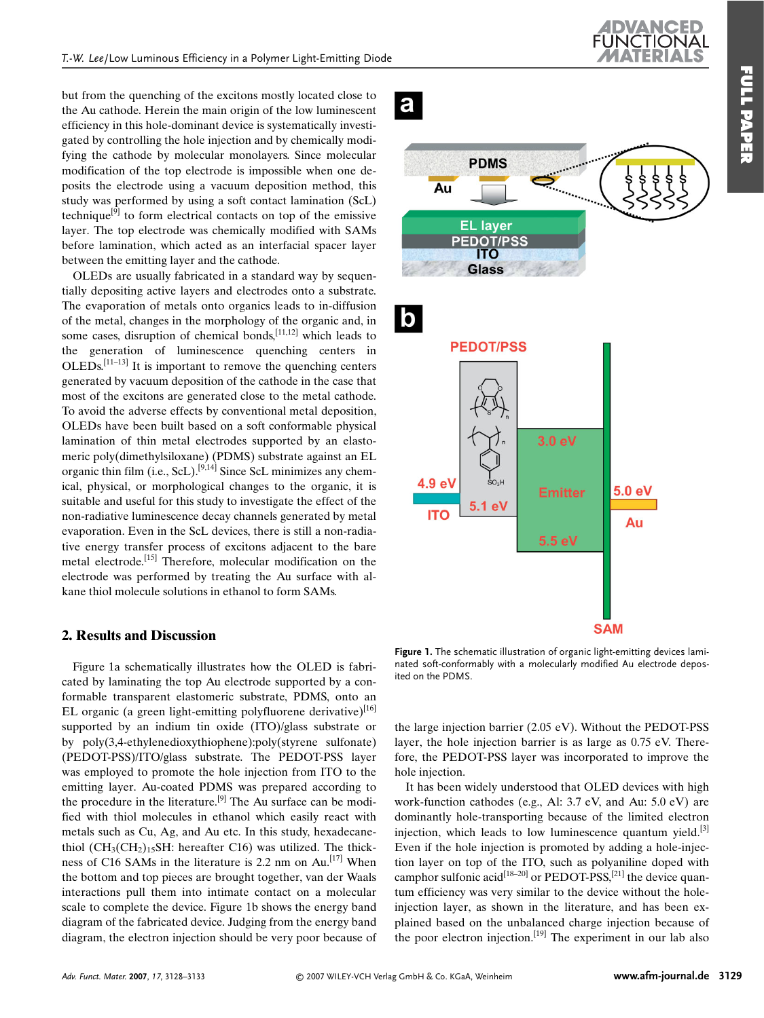but from the quenching of the excitons mostly located close to the Au cathode. Herein the main origin of the low luminescent efficiency in this hole-dominant device is systematically investigated by controlling the hole injection and by chemically modifying the cathode by molecular monolayers. Since molecular modification of the top electrode is impossible when one deposits the electrode using a vacuum deposition method, this study was performed by using a soft contact lamination (ScL) technique<sup>[9]</sup> to form electrical contacts on top of the emissive layer. The top electrode was chemically modified with SAMs before lamination, which acted as an interfacial spacer layer between the emitting layer and the cathode.

OLEDs are usually fabricated in a standard way by sequentially depositing active layers and electrodes onto a substrate. The evaporation of metals onto organics leads to in-diffusion of the metal, changes in the morphology of the organic and, in some cases, disruption of chemical bonds,<sup> $[11,12]$ </sup> which leads to the generation of luminescence quenching centers in  $OLEDs$ <sup>[11–13]</sup> It is important to remove the quenching centers generated by vacuum deposition of the cathode in the case that most of the excitons are generated close to the metal cathode. To avoid the adverse effects by conventional metal deposition, OLEDs have been built based on a soft conformable physical lamination of thin metal electrodes supported by an elastomeric poly(dimethylsiloxane) (PDMS) substrate against an EL organic thin film (i.e., ScL).<sup>[9,14]</sup> Since ScL minimizes any chemical, physical, or morphological changes to the organic, it is suitable and useful for this study to investigate the effect of the non-radiative luminescence decay channels generated by metal evaporation. Even in the ScL devices, there is still a non-radiative energy transfer process of excitons adjacent to the bare metal electrode.[15] Therefore, molecular modification on the electrode was performed by treating the Au surface with alkane thiol molecule solutions in ethanol to form SAMs.

## **2. Results and Discussion**

Figure 1a schematically illustrates how the OLED is fabricated by laminating the top Au electrode supported by a conformable transparent elastomeric substrate, PDMS, onto an EL organic (a green light-emitting polyfluorene derivative) $[16]$ supported by an indium tin oxide (ITO)/glass substrate or by poly(3,4-ethylenedioxythiophene):poly(styrene sulfonate) (PEDOT-PSS)/ITO/glass substrate. The PEDOT-PSS layer was employed to promote the hole injection from ITO to the emitting layer. Au-coated PDMS was prepared according to the procedure in the literature.<sup>[9]</sup> The Au surface can be modified with thiol molecules in ethanol which easily react with metals such as Cu, Ag, and Au etc. In this study, hexadecanethiol  $(CH<sub>3</sub>(CH<sub>2</sub>)<sub>15</sub>SH$ : hereafter C16) was utilized. The thickness of C16 SAMs in the literature is 2.2 nm on Au.<sup>[17]</sup> When the bottom and top pieces are brought together, van der Waals interactions pull them into intimate contact on a molecular scale to complete the device. Figure 1b shows the energy band diagram of the fabricated device. Judging from the energy band diagram, the electron injection should be very poor because of a



**Figure 1.** The schematic illustration of organic light-emitting devices laminated soft-conformably with a molecularly modified Au electrode deposited on the PDMS.

**SAM** 

the large injection barrier (2.05 eV). Without the PEDOT-PSS layer, the hole injection barrier is as large as 0.75 eV. Therefore, the PEDOT-PSS layer was incorporated to improve the hole injection.

It has been widely understood that OLED devices with high work-function cathodes (e.g., Al: 3.7 eV, and Au: 5.0 eV) are dominantly hole-transporting because of the limited electron injection, which leads to low luminescence quantum yield.<sup>[3]</sup> Even if the hole injection is promoted by adding a hole-injection layer on top of the ITO, such as polyaniline doped with camphor sulfonic acid<sup>[18–20]</sup> or PEDOT-PSS,<sup>[21]</sup> the device quantum efficiency was very similar to the device without the holeinjection layer, as shown in the literature, and has been explained based on the unbalanced charge injection because of the poor electron injection.<sup>[19]</sup> The experiment in our lab also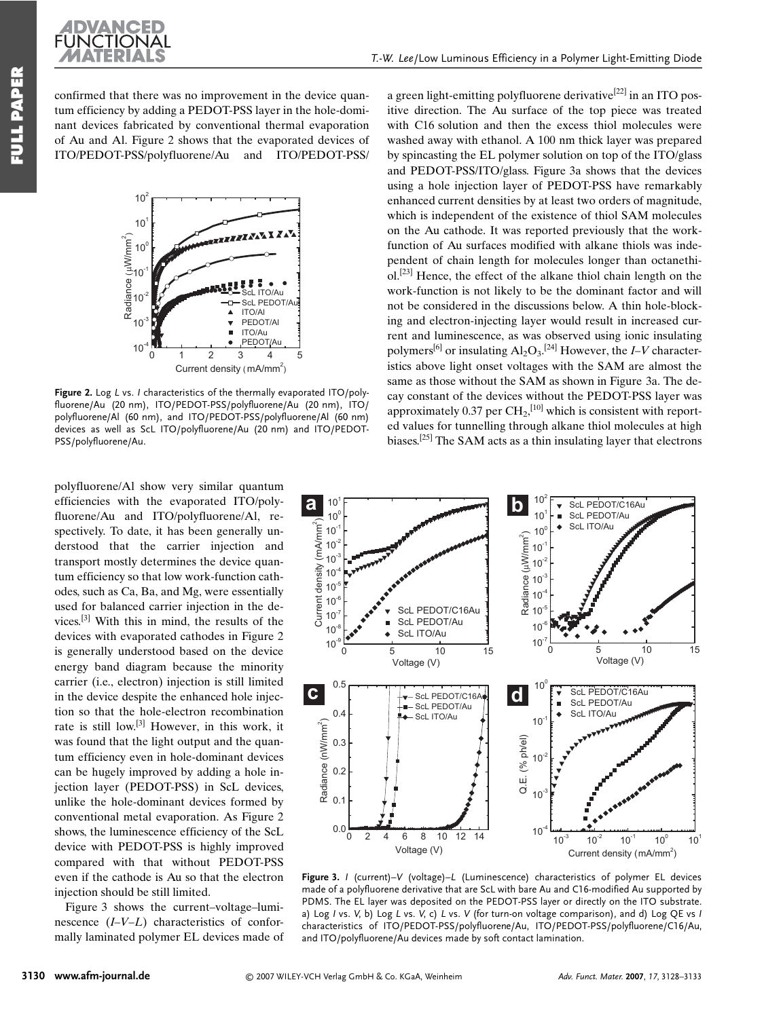

confirmed that there was no improvement in the device quantum efficiency by adding a PEDOT-PSS layer in the hole-dominant devices fabricated by conventional thermal evaporation of Au and Al. Figure 2 shows that the evaporated devices of ITO/PEDOT-PSS/polyfluorene/Au and ITO/PEDOT-PSS/



**Figure 2.** Log *L* vs. *I* characteristics of the thermally evaporated ITO/polyfluorene/Au (20 nm), ITO/PEDOT-PSS/polyfluorene/Au (20 nm), ITO/ polyfluorene/Al (60 nm), and ITO/PEDOT-PSS/polyfluorene/Al (60 nm) devices as well as ScL ITO/polyfluorene/Au (20 nm) and ITO/PEDOT-PSS/polyfluorene/Au.

polyfluorene/Al show very similar quantum efficiencies with the evaporated ITO/polyfluorene/Au and ITO/polyfluorene/Al, respectively. To date, it has been generally understood that the carrier injection and transport mostly determines the device quantum efficiency so that low work-function cathodes, such as Ca, Ba, and Mg, were essentially used for balanced carrier injection in the devices.[3] With this in mind, the results of the devices with evaporated cathodes in Figure 2 is generally understood based on the device energy band diagram because the minority carrier (i.e., electron) injection is still limited in the device despite the enhanced hole injection so that the hole-electron recombination rate is still low.[3] However, in this work, it was found that the light output and the quantum efficiency even in hole-dominant devices can be hugely improved by adding a hole injection layer (PEDOT-PSS) in ScL devices, unlike the hole-dominant devices formed by conventional metal evaporation. As Figure 2 shows, the luminescence efficiency of the ScL device with PEDOT-PSS is highly improved compared with that without PEDOT-PSS even if the cathode is Au so that the electron injection should be still limited.

Figure 3 shows the current–voltage–luminescence (*I–V–L*) characteristics of conformally laminated polymer EL devices made of a green light-emitting polyfluorene derivative<sup>[22]</sup> in an ITO positive direction. The Au surface of the top piece was treated with C16 solution and then the excess thiol molecules were washed away with ethanol. A 100 nm thick layer was prepared by spincasting the EL polymer solution on top of the ITO/glass and PEDOT-PSS/ITO/glass. Figure 3a shows that the devices using a hole injection layer of PEDOT-PSS have remarkably enhanced current densities by at least two orders of magnitude, which is independent of the existence of thiol SAM molecules on the Au cathode. It was reported previously that the workfunction of Au surfaces modified with alkane thiols was independent of chain length for molecules longer than octanethiol.[23] Hence, the effect of the alkane thiol chain length on the work-function is not likely to be the dominant factor and will not be considered in the discussions below. A thin hole-blocking and electron-injecting layer would result in increased current and luminescence, as was observed using ionic insulating polymers<sup>[6]</sup> or insulating Al<sub>2</sub>O<sub>3</sub>.<sup>[24]</sup> However, the *I–V* characteristics above light onset voltages with the SAM are almost the same as those without the SAM as shown in Figure 3a. The decay constant of the devices without the PEDOT-PSS layer was approximately 0.37 per  $\text{CH}_2$ ,  $^{[10]}$  which is consistent with reported values for tunnelling through alkane thiol molecules at high biases.<sup>[25]</sup> The SAM acts as a thin insulating layer that electrons



**Figure 3.** *I* (current)–*V* (voltage)–*L* (Luminescence) characteristics of polymer EL devices made of a polyfluorene derivative that are ScL with bare Au and C16-modified Au supported by PDMS. The EL layer was deposited on the PEDOT-PSS layer or directly on the ITO substrate. a) Log *I* vs. *V*, b) Log *L* vs. *V*, c) *L* vs. *V* (for turn-on voltage comparison), and d) Log QE vs *I* characteristics of ITO/PEDOT-PSS/polyfluorene/Au, ITO/PEDOT-PSS/polyfluorene/C16/Au, and ITO/polyfluorene/Au devices made by soft contact lamination.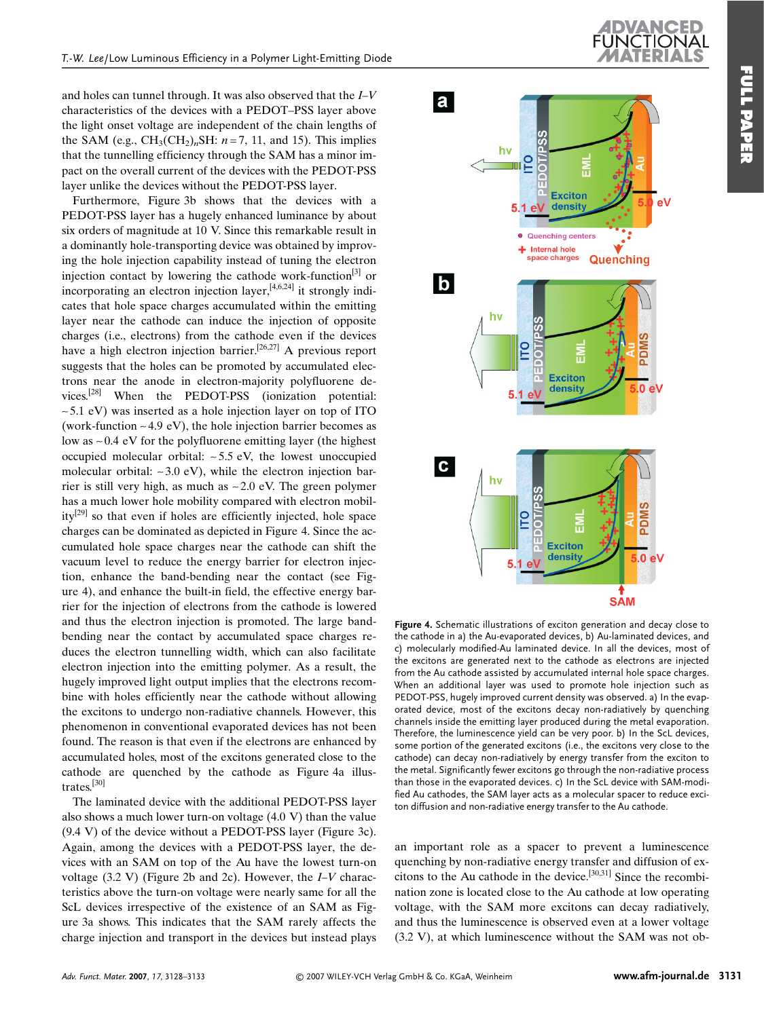and holes can tunnel through. It was also observed that the *I–V* characteristics of the devices with a PEDOT–PSS layer above the light onset voltage are independent of the chain lengths of the SAM (e.g.,  $CH_3(CH_2)_n$ SH:  $n=7$ , 11, and 15). This implies that the tunnelling efficiency through the SAM has a minor impact on the overall current of the devices with the PEDOT-PSS layer unlike the devices without the PEDOT-PSS layer.

Furthermore, Figure 3b shows that the devices with a PEDOT-PSS layer has a hugely enhanced luminance by about six orders of magnitude at 10 V. Since this remarkable result in a dominantly hole-transporting device was obtained by improving the hole injection capability instead of tuning the electron injection contact by lowering the cathode work-function<sup>[3]</sup> or incorporating an electron injection layer, $[4,6,24]$  it strongly indicates that hole space charges accumulated within the emitting layer near the cathode can induce the injection of opposite charges (i.e., electrons) from the cathode even if the devices have a high electron injection barrier.<sup>[26,27]</sup> A previous report suggests that the holes can be promoted by accumulated electrons near the anode in electron-majority polyfluorene devices.[28] When the PEDOT-PSS (ionization potential: ∼ 5.1 eV) was inserted as a hole injection layer on top of ITO (work-function ∼ 4.9 eV), the hole injection barrier becomes as low as ∼ 0.4 eV for the polyfluorene emitting layer (the highest occupied molecular orbital: ∼ 5.5 eV, the lowest unoccupied molecular orbital: ∼ 3.0 eV), while the electron injection barrier is still very high, as much as ∼ 2.0 eV. The green polymer has a much lower hole mobility compared with electron mobil $ity^{[29]}$  so that even if holes are efficiently injected, hole space charges can be dominated as depicted in Figure 4. Since the accumulated hole space charges near the cathode can shift the vacuum level to reduce the energy barrier for electron injection, enhance the band-bending near the contact (see Figure 4), and enhance the built-in field, the effective energy barrier for the injection of electrons from the cathode is lowered and thus the electron injection is promoted. The large bandbending near the contact by accumulated space charges reduces the electron tunnelling width, which can also facilitate electron injection into the emitting polymer. As a result, the hugely improved light output implies that the electrons recombine with holes efficiently near the cathode without allowing the excitons to undergo non-radiative channels. However, this phenomenon in conventional evaporated devices has not been found. The reason is that even if the electrons are enhanced by accumulated holes, most of the excitons generated close to the cathode are quenched by the cathode as Figure 4a illustrates.[30]

The laminated device with the additional PEDOT-PSS layer also shows a much lower turn-on voltage (4.0 V) than the value (9.4 V) of the device without a PEDOT-PSS layer (Figure 3c). Again, among the devices with a PEDOT-PSS layer, the devices with an SAM on top of the Au have the lowest turn-on voltage (3.2 V) (Figure 2b and 2c). However, the *I–V* characteristics above the turn-on voltage were nearly same for all the ScL devices irrespective of the existence of an SAM as Figure 3a shows. This indicates that the SAM rarely affects the charge injection and transport in the devices but instead plays



**Figure 4.** Schematic illustrations of exciton generation and decay close to the cathode in a) the Au-evaporated devices, b) Au-laminated devices, and c) molecularly modified-Au laminated device. In all the devices, most of the excitons are generated next to the cathode as electrons are injected from the Au cathode assisted by accumulated internal hole space charges. When an additional layer was used to promote hole injection such as PEDOT-PSS, hugely improved current density was observed. a) In the evaporated device, most of the excitons decay non-radiatively by quenching channels inside the emitting layer produced during the metal evaporation. Therefore, the luminescence yield can be very poor. b) In the ScL devices, some portion of the generated excitons (i.e., the excitons very close to the cathode) can decay non-radiatively by energy transfer from the exciton to the metal. Significantly fewer excitons go through the non-radiative process than those in the evaporated devices. c) In the ScL device with SAM-modified Au cathodes, the SAM layer acts as a molecular spacer to reduce exciton diffusion and non-radiative energy transfer to the Au cathode.

an important role as a spacer to prevent a luminescence quenching by non-radiative energy transfer and diffusion of excitons to the Au cathode in the device.[30,31] Since the recombination zone is located close to the Au cathode at low operating voltage, with the SAM more excitons can decay radiatively, and thus the luminescence is observed even at a lower voltage (3.2 V), at which luminescence without the SAM was not ob-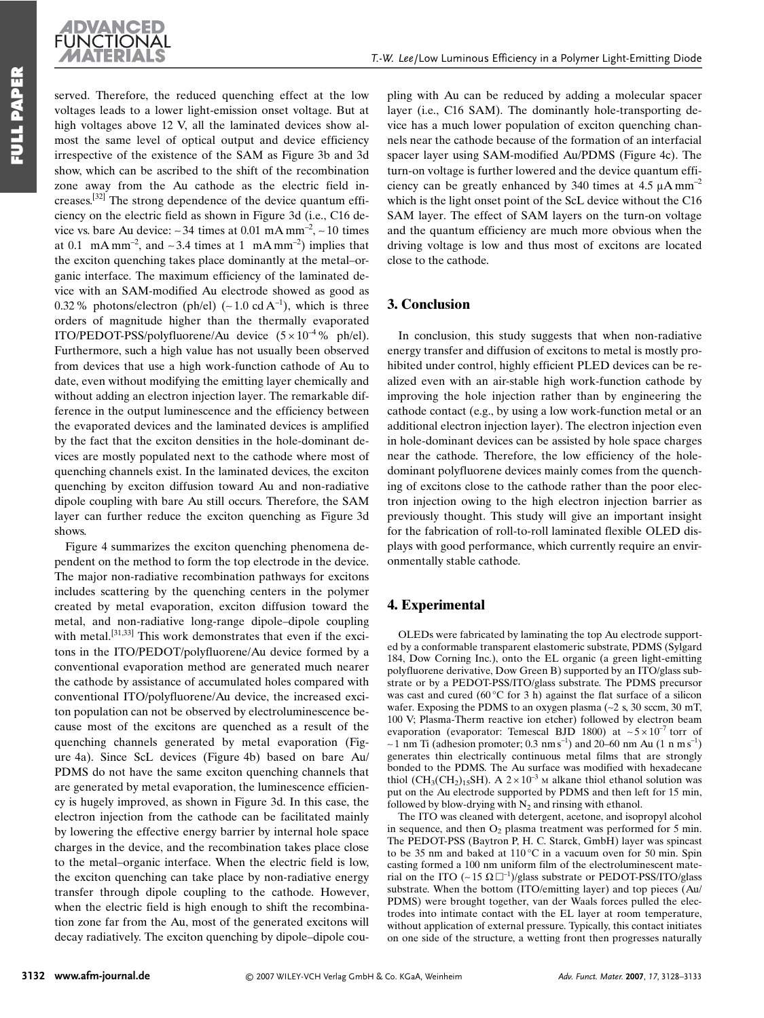

served. Therefore, the reduced quenching effect at the low voltages leads to a lower light-emission onset voltage. But at high voltages above 12 V, all the laminated devices show almost the same level of optical output and device efficiency irrespective of the existence of the SAM as Figure 3b and 3d show, which can be ascribed to the shift of the recombination zone away from the Au cathode as the electric field increases.<sup>[32]</sup> The strong dependence of the device quantum efficiency on the electric field as shown in Figure 3d (i.e., C16 device vs. bare Au device: ∼ 34 times at 0.01 mA mm–2, ∼ 10 times at 0.1 mA mm<sup>-2</sup>, and ~3.4 times at 1 mA mm<sup>-2</sup>) implies that the exciton quenching takes place dominantly at the metal–organic interface. The maximum efficiency of the laminated device with an SAM-modified Au electrode showed as good as 0.32% photons/electron (ph/el) (~1.0 cd A<sup>-1</sup>), which is three orders of magnitude higher than the thermally evaporated ITO/PEDOT-PSS/polyfluorene/Au device  $(5 \times 10^{-4}\% \text{ ph/el})$ . Furthermore, such a high value has not usually been observed from devices that use a high work-function cathode of Au to date, even without modifying the emitting layer chemically and without adding an electron injection layer. The remarkable difference in the output luminescence and the efficiency between the evaporated devices and the laminated devices is amplified by the fact that the exciton densities in the hole-dominant devices are mostly populated next to the cathode where most of quenching channels exist. In the laminated devices, the exciton quenching by exciton diffusion toward Au and non-radiative dipole coupling with bare Au still occurs. Therefore, the SAM layer can further reduce the exciton quenching as Figure 3d shows. **32** www.afm-yinding the state of the state of the state of the state of the state of the state of the state of the state of the state of the state of the state of the state of the state of the state of the state of the st

Figure 4 summarizes the exciton quenching phenomena dependent on the method to form the top electrode in the device. The major non-radiative recombination pathways for excitons includes scattering by the quenching centers in the polymer created by metal evaporation, exciton diffusion toward the metal, and non-radiative long-range dipole–dipole coupling with metal.<sup>[31,33]</sup> This work demonstrates that even if the excitons in the ITO/PEDOT/polyfluorene/Au device formed by a conventional evaporation method are generated much nearer the cathode by assistance of accumulated holes compared with conventional ITO/polyfluorene/Au device, the increased exciton population can not be observed by electroluminescence because most of the excitons are quenched as a result of the quenching channels generated by metal evaporation (Figure 4a). Since ScL devices (Figure 4b) based on bare Au/ PDMS do not have the same exciton quenching channels that are generated by metal evaporation, the luminescence efficiency is hugely improved, as shown in Figure 3d. In this case, the electron injection from the cathode can be facilitated mainly by lowering the effective energy barrier by internal hole space charges in the device, and the recombination takes place close to the metal–organic interface. When the electric field is low, the exciton quenching can take place by non-radiative energy transfer through dipole coupling to the cathode. However, when the electric field is high enough to shift the recombination zone far from the Au, most of the generated excitons will decay radiatively. The exciton quenching by dipole–dipole coupling with Au can be reduced by adding a molecular spacer layer (i.e., C16 SAM). The dominantly hole-transporting device has a much lower population of exciton quenching channels near the cathode because of the formation of an interfacial spacer layer using SAM-modified Au/PDMS (Figure 4c). The turn-on voltage is further lowered and the device quantum efficiency can be greatly enhanced by 340 times at 4.5  $\mu$ A mm<sup>-2</sup> which is the light onset point of the ScL device without the C16 SAM layer. The effect of SAM layers on the turn-on voltage and the quantum efficiency are much more obvious when the driving voltage is low and thus most of excitons are located close to the cathode.

## **3. Conclusion**

In conclusion, this study suggests that when non-radiative energy transfer and diffusion of excitons to metal is mostly prohibited under control, highly efficient PLED devices can be realized even with an air-stable high work-function cathode by improving the hole injection rather than by engineering the cathode contact (e.g., by using a low work-function metal or an additional electron injection layer). The electron injection even in hole-dominant devices can be assisted by hole space charges near the cathode. Therefore, the low efficiency of the holedominant polyfluorene devices mainly comes from the quenching of excitons close to the cathode rather than the poor electron injection owing to the high electron injection barrier as previously thought. This study will give an important insight for the fabrication of roll-to-roll laminated flexible OLED displays with good performance, which currently require an environmentally stable cathode.

## **4. Experimental**

OLEDs were fabricated by laminating the top Au electrode supported by a conformable transparent elastomeric substrate, PDMS (Sylgard 184, Dow Corning Inc.), onto the EL organic (a green light-emitting polyfluorene derivative, Dow Green B) supported by an ITO/glass substrate or by a PEDOT-PSS/ITO/glass substrate. The PDMS precursor was cast and cured (60 $^{\circ}$ C for 3 h) against the flat surface of a silicon wafer. Exposing the PDMS to an oxygen plasma (∼2 s, 30 sccm, 30 mT, 100 V; Plasma-Therm reactive ion etcher) followed by electron beam evaporation (evaporator: Temescal BJD 1800) at ~5 × 10<sup>-7</sup> torr of  $~\sim$  1 nm Ti (adhesion promoter; 0.3 nm s<sup>-1</sup>) and 20–60 nm Au (1 nm s<sup>-1</sup>) generates thin electrically continuous metal films that are strongly bonded to the PDMS. The Au surface was modified with hexadecane thiol (CH<sub>3</sub>(CH<sub>2</sub>)<sub>15</sub>SH). A  $2 \times 10^{-3}$  M alkane thiol ethanol solution was put on the Au electrode supported by PDMS and then left for 15 min, followed by blow-drying with  $N_2$  and rinsing with ethanol.

The ITO was cleaned with detergent, acetone, and isopropyl alcohol in sequence, and then  $O_2$  plasma treatment was performed for 5 min. The PEDOT-PSS (Baytron P, H. C. Starck, GmbH) layer was spincast to be 35 nm and baked at 110 °C in a vacuum oven for 50 min. Spin casting formed a 100 nm uniform film of the electroluminescent material on the ITO (~15 Ω  $\square$ <sup>-1</sup>)/glass substrate or PEDOT-PSS/ITO/glass substrate. When the bottom (ITO/emitting layer) and top pieces (Au/ PDMS) were brought together, van der Waals forces pulled the electrodes into intimate contact with the EL layer at room temperature, without application of external pressure. Typically, this contact initiates on one side of the structure, a wetting front then progresses naturally